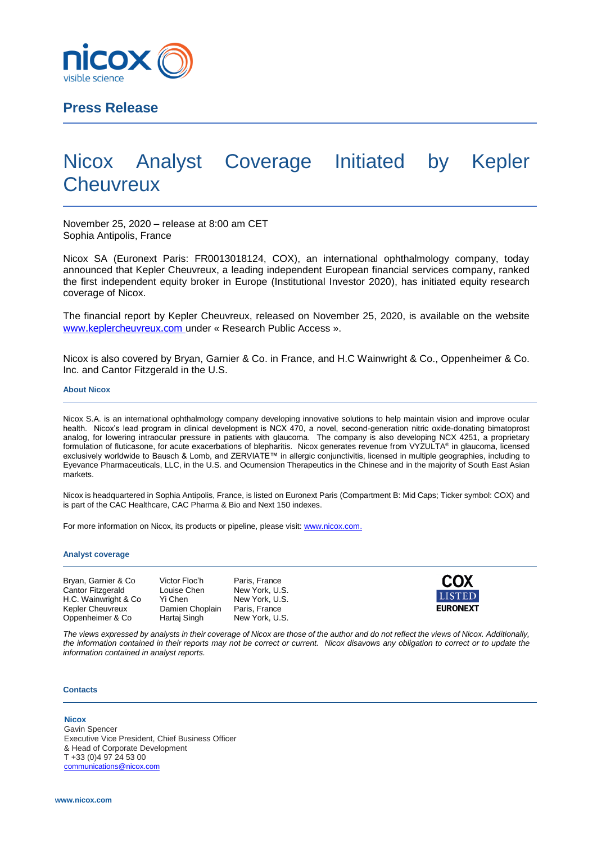

# **Press Release**

# Nicox Analyst Coverage Initiated by Kepler **Cheuvreux**

November 25, 2020 – release at 8:00 am CET Sophia Antipolis, France

Nicox SA (Euronext Paris: FR0013018124, COX), an international ophthalmology company, today announced that Kepler Cheuvreux, a leading independent European financial services company, ranked the first independent equity broker in Europe (Institutional Investor 2020), has initiated equity research coverage of Nicox.

The financial report by Kepler Cheuvreux, released on November 25, 2020, is available on the website [www.keplercheuvreux.com](http://www.keplercheuvreux.com/) under « Research Public Access ».

Nicox is also covered by Bryan, Garnier & Co. in France, and H.C Wainwright & Co., Oppenheimer & Co. Inc. and Cantor Fitzgerald in the U.S.

#### **About Nicox**

Nicox S.A. is an international ophthalmology company developing innovative solutions to help maintain vision and improve ocular health. Nicox's lead program in clinical development is NCX 470, a novel, second-generation nitric oxide-donating bimatoprost analog, for lowering intraocular pressure in patients with glaucoma. The company is also developing NCX 4251, a proprietary formulation of fluticasone, for acute exacerbations of blepharitis. Nicox generates revenue from VYZULTA® in glaucoma, licensed exclusively worldwide to Bausch & Lomb, and ZERVIATE™ in allergic conjunctivitis, licensed in multiple geographies, including to Eyevance Pharmaceuticals, LLC, in the U.S. and Ocumension Therapeutics in the Chinese and in the majority of South East Asian markets.

Nicox is headquartered in Sophia Antipolis, France, is listed on Euronext Paris (Compartment B: Mid Caps; Ticker symbol: COX) and is part of the CAC Healthcare, CAC Pharma & Bio and Next 150 indexes.

For more information on Nicox, its products or pipeline, please visit[: www.nicox.com.](http://www.nicox.com/)

#### **Analyst coverage**

| Bryan, Garnier & Co.     | Victor Floc'h   | Paris, France  |
|--------------------------|-----------------|----------------|
| <b>Cantor Fitzgerald</b> | Louise Chen     | New York, U.S. |
| H.C. Wainwright & Co.    | Yi Chen         | New York, U.S. |
| <b>Kepler Cheuvreux</b>  | Damien Choplain | Paris, France  |
| Oppenheimer & Co         | Hartaj Singh    | New York, U.S. |



*The views expressed by analysts in their coverage of Nicox are those of the author and do not reflect the views of Nicox. Additionally, the information contained in their reports may not be correct or current. Nicox disavows any obligation to correct or to update the information contained in analyst reports.*

#### **Contacts**

## **Nicox**

Gavin Spencer Executive Vice President, Chief Business Officer & Head of Corporate Development T +33 (0)4 97 24 53 00 [communications@nicox.com](mailto:communications@nicox.com)